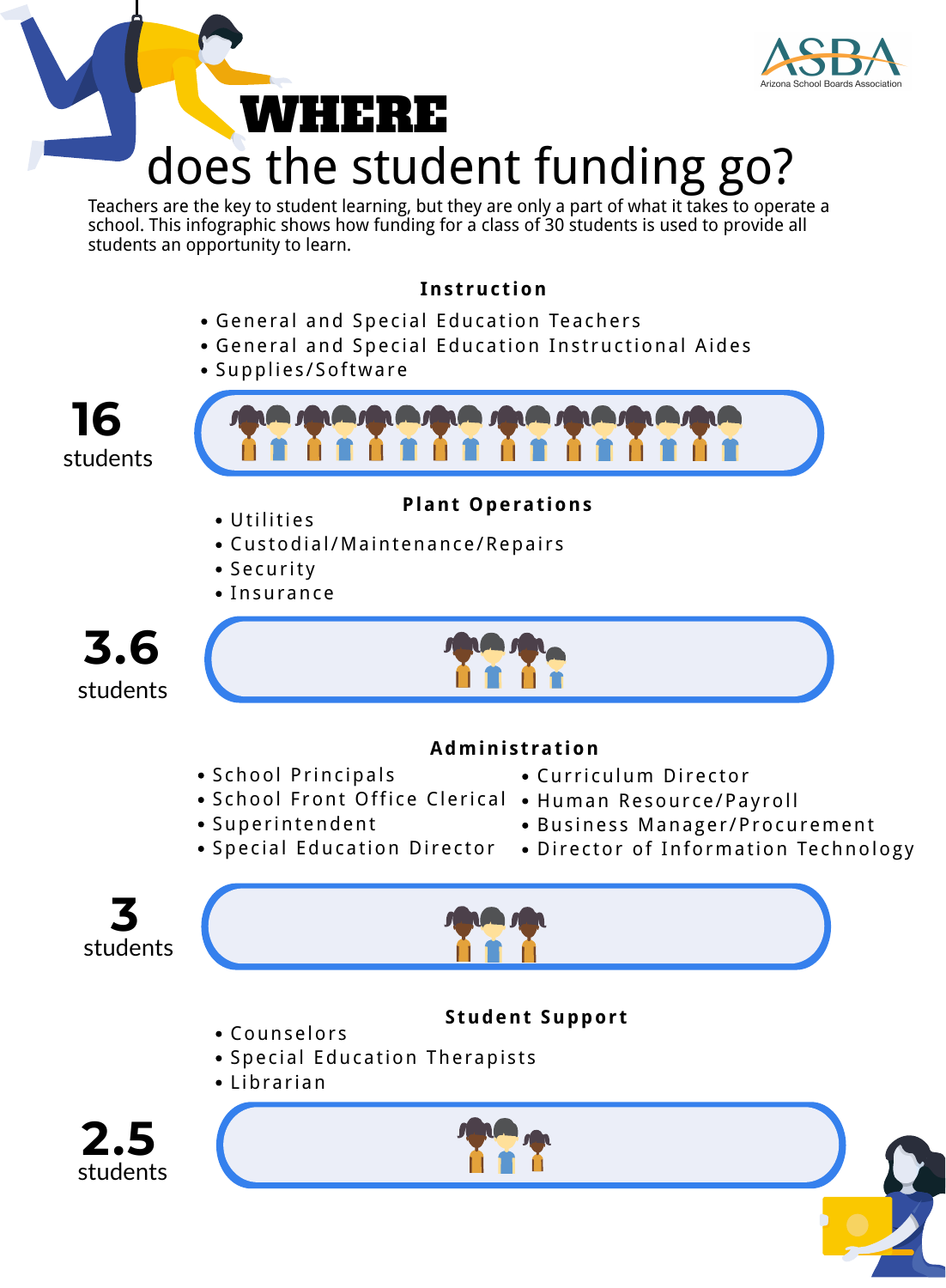students





## **Plant Operat ions**

- School Principals
	- School Front Office Clerical Human Resource/Payroll • Curriculum Director
- Superintendent
- Business Manager/Procurement
- - Special Education Director Director of Information Technology
- Utilities
- Custodial/Maintenance/Repairs
- Security
- Insurance



#### **Admini s t rat ion**



# does the student funding go? WEIR ER





## **Student Support**

- Counselors
- Special Education Therapists
- Librarian

#### **Ins t ruc t ion**

- General and Special Education Teachers
- General and Special Education Instructional Aides
- Supplies/Software



**16**



Teachers are the key to student learning, but they are only a part of what it takes to operate a school. This infographic shows how funding for a class of 30 students is used to provide all students an opportunity to learn.